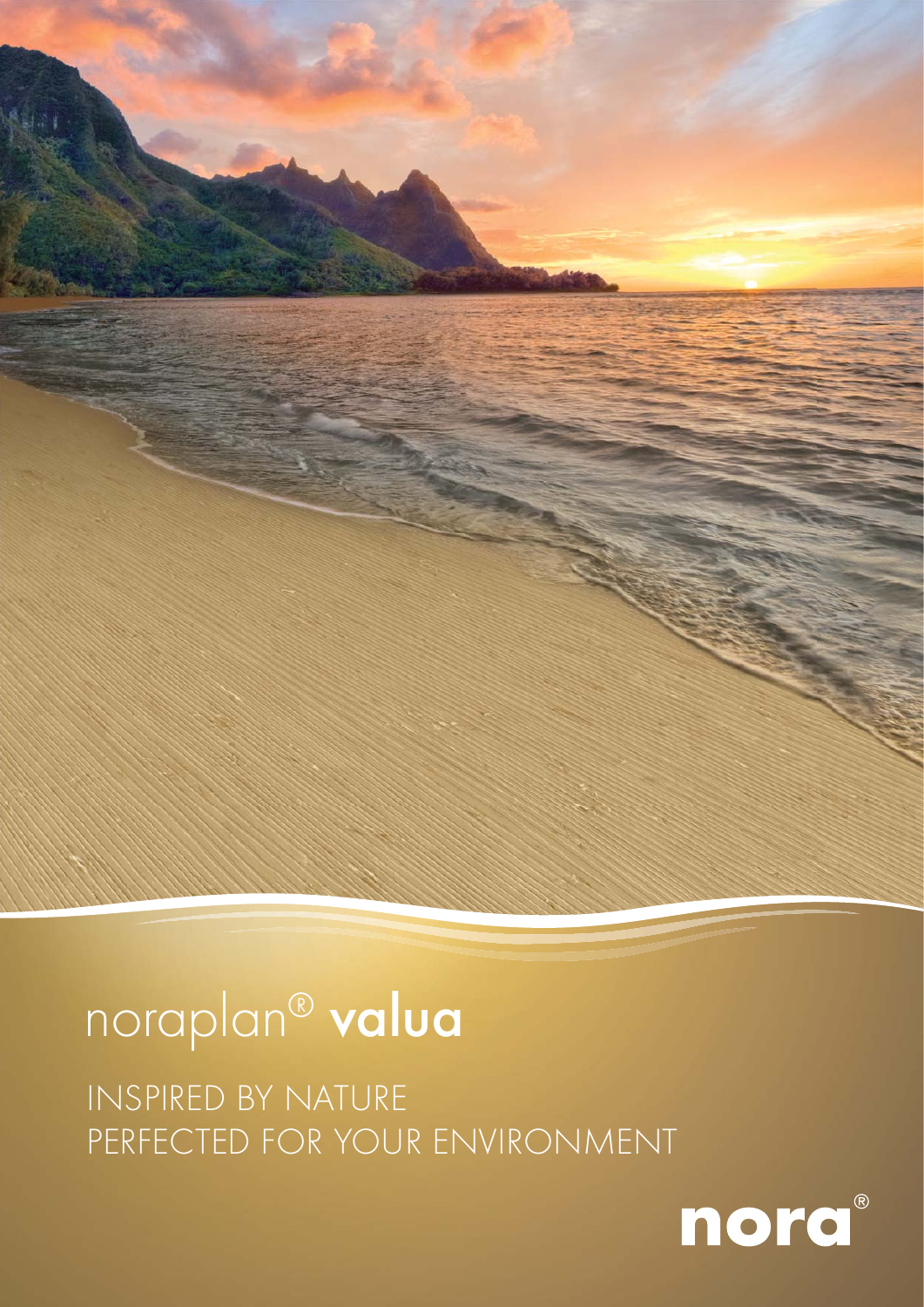

## INSPIRED BY NATURE PERFECTED FOR YOUR ENVIRONMENT

# noraplan® valua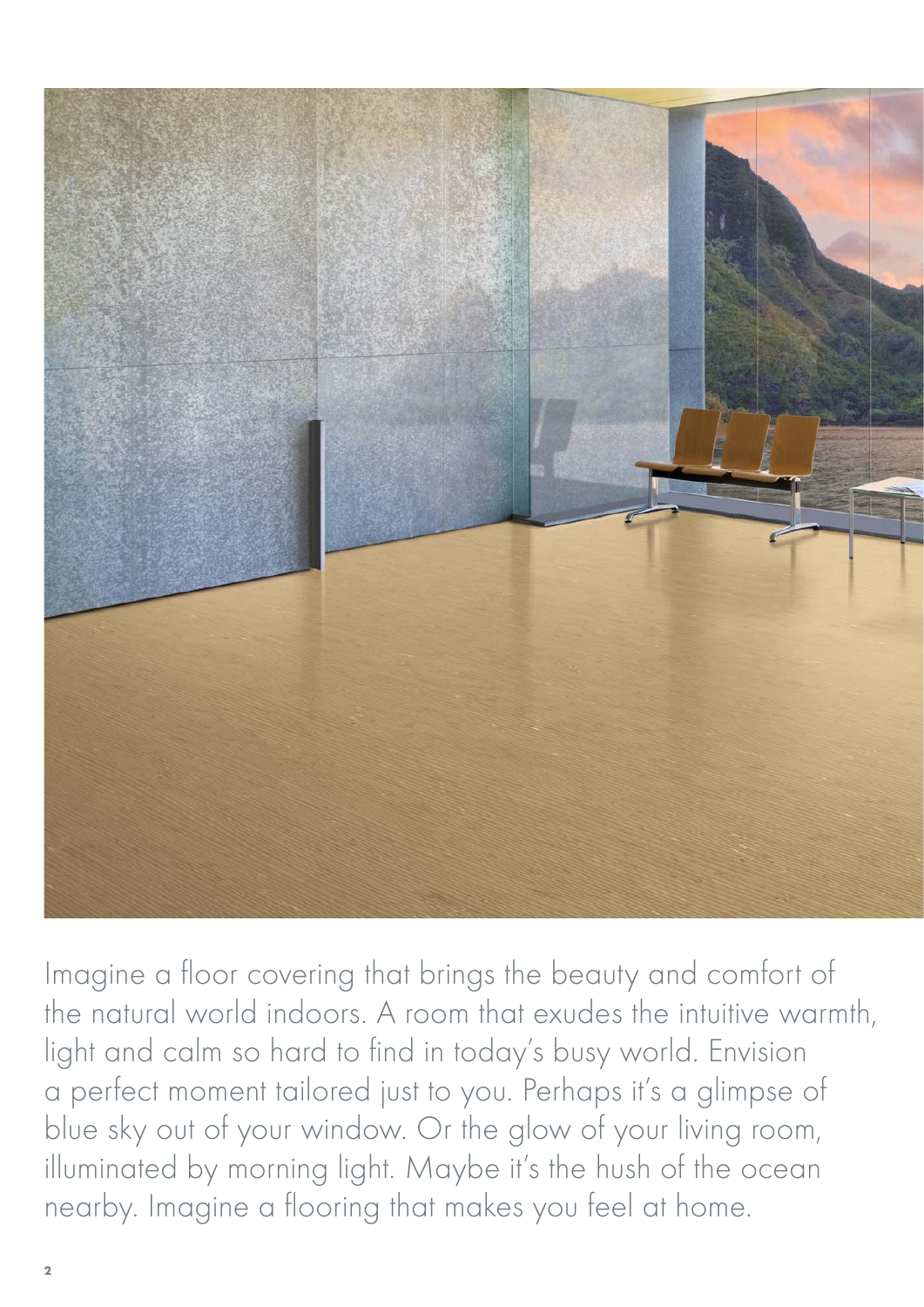

Imagine a floor covering that brings the beauty and comfort of the natural world indoors. A room that exudes the intuitive warmth, light and calm so hard to find in today's busy world. Envision a perfect moment tailored just to you. Perhaps it's a glimpse of blue sky out of your window. Or the glow of your living room, illuminated by morning light. Maybe it's the hush of the ocean nearby. Imagine a flooring that makes you feel at home.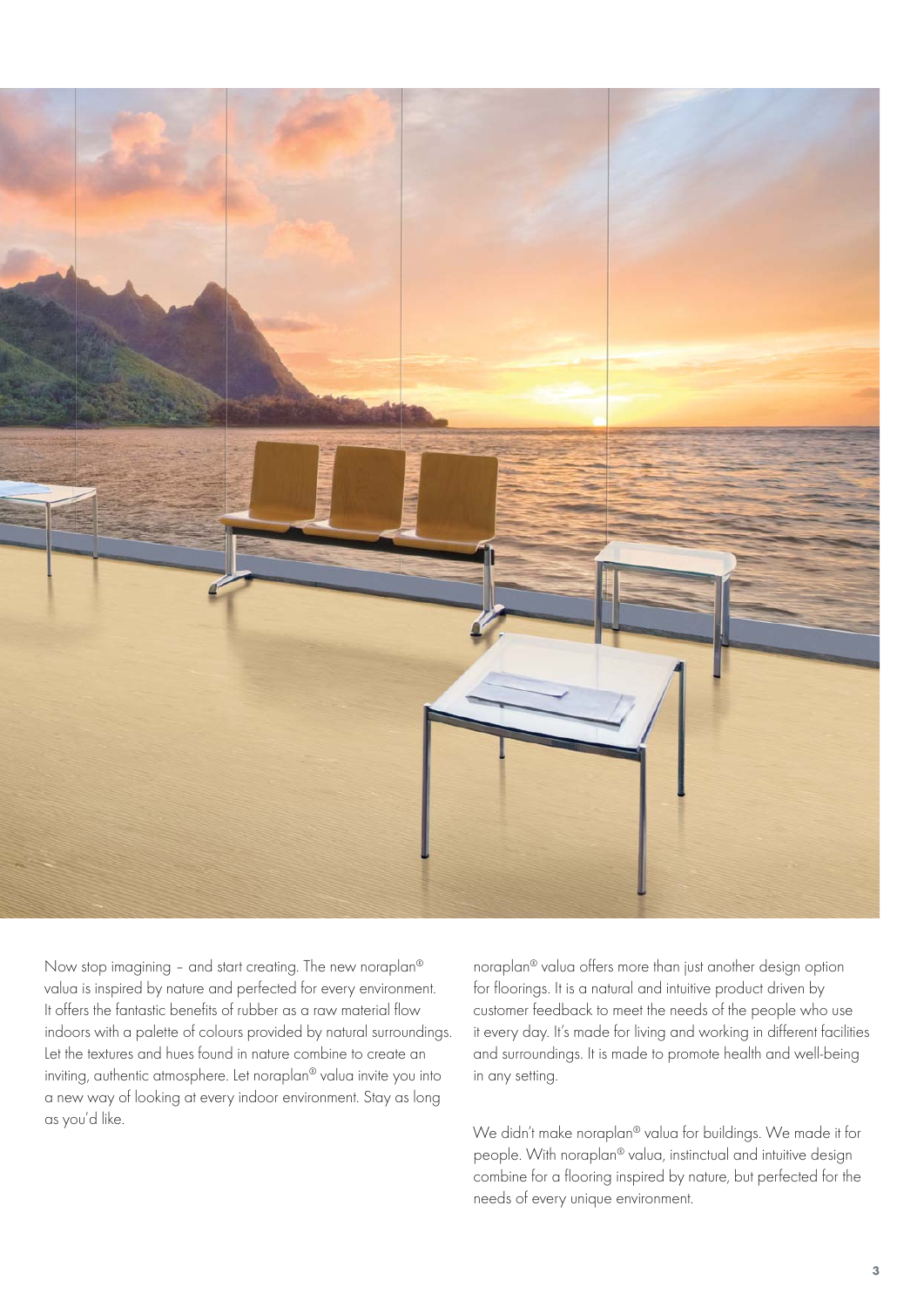

Now stop imagining – and start creating. The new noraplan® valua is inspired by nature and perfected for every environment. It offers the fantastic benefits of rubber as a raw material flow indoors with a palette of colours provided by natural surroundinas. Let the textures and hues found in nature combine to create an inviting, authentic atmosphere. Let noraplan® valua invite you into a new way of looking at every indoor environment. Stay as long as you'd like.

noraplan® valua offers more than just another design option for floorings. It is a natural and intuitive product driven by customer feedback to meet the needs of the people who use it every day. It's made for living and working in different facilities and surroundings. It is made to promote health and well-being in any setting.

We didn't make noraplan® valua for buildings. We made it for people. With noraplan® valua, instinctual and intuitive design combine for a flooring inspired by nature, but perfected for the needs of every unique environment.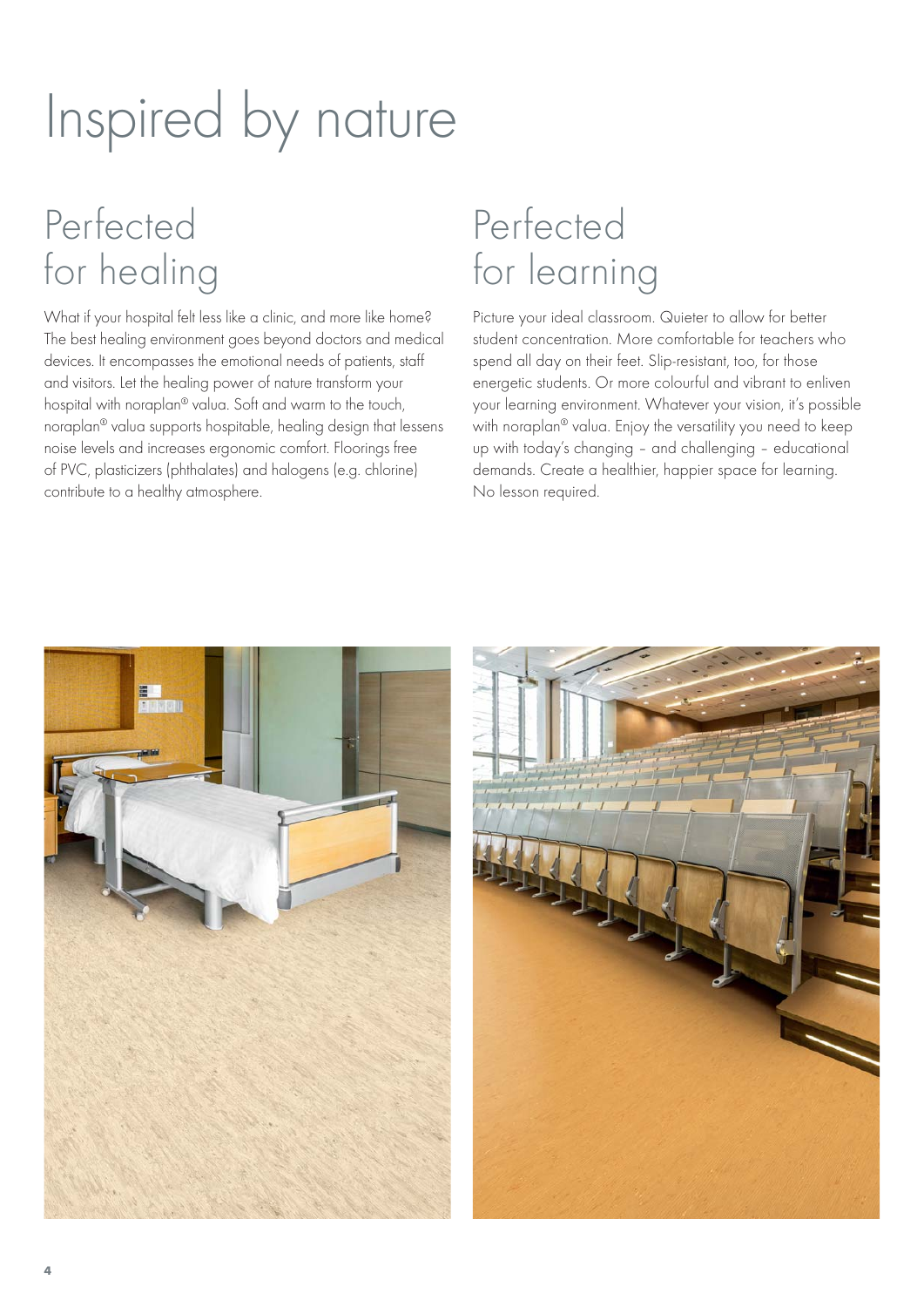# Inspired by nature

# Perfected for healing

What if your hospital felt less like a clinic, and more like home? The best healing environment goes beyond doctors and medical devices. It encompasses the emotional needs of patients, staff and visitors. Let the healing power of nature transform your hospital with noraplan® valua. Soft and warm to the touch, noraplan® valua supports hospitable, healing design that lessens noise levels and increases ergonomic comfort. Floorings free of PVC, plasticizers (phthalates) and halogens (e.g. chlorine) contribute to a healthy atmosphere.

# Perfected for learning

Picture your ideal classroom. Quieter to allow for better student concentration. More comfortable for teachers who spend all day on their feet. Slip-resistant, too, for those energetic students. Or more colourful and vibrant to enliven your learning environment. Whatever your vision, it's possible with noraplan® valua. Enjoy the versatility you need to keep up with today's changing – and challenging – educational demands. Create a healthier, happier space for learning. No lesson required.



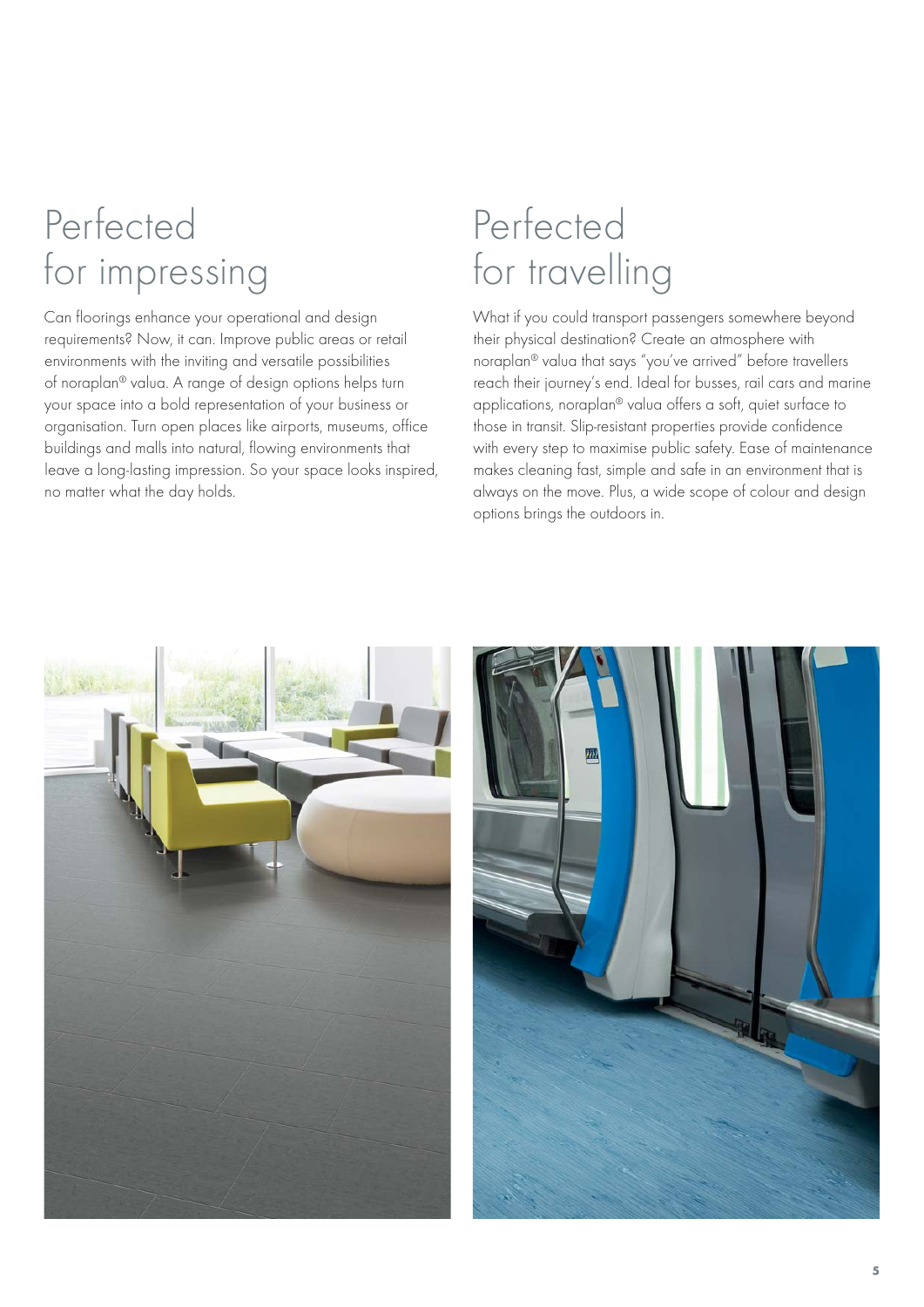# Perfected for impressing

Can floorings enhance your operational and design requirements? Now, it can. Improve public areas or retail environments with the inviting and versatile possibilities of noraplan® valua. A range of design options helps turn your space into a bold representation of your business or organisation. Turn open places like airports, museums, office buildings and malls into natural, flowing environments that leave a long-lasting impression. So your space looks inspired, no matter what the day holds.

# Perfected for travelling

What if you could transport passengers somewhere beyond their physical destination? Create an atmosphere with noraplan® valua that says "you've arrived" before travellers reach their journey's end. Ideal for busses, rail cars and marine applications, noraplan® valua offers a soft, quiet surface to those in transit. Slip-resistant properties provide confidence with every step to maximise public safety. Ease of maintenance makes cleaning fast, simple and safe in an environment that is always on the move. Plus, a wide scope of colour and design options brings the outdoors in.



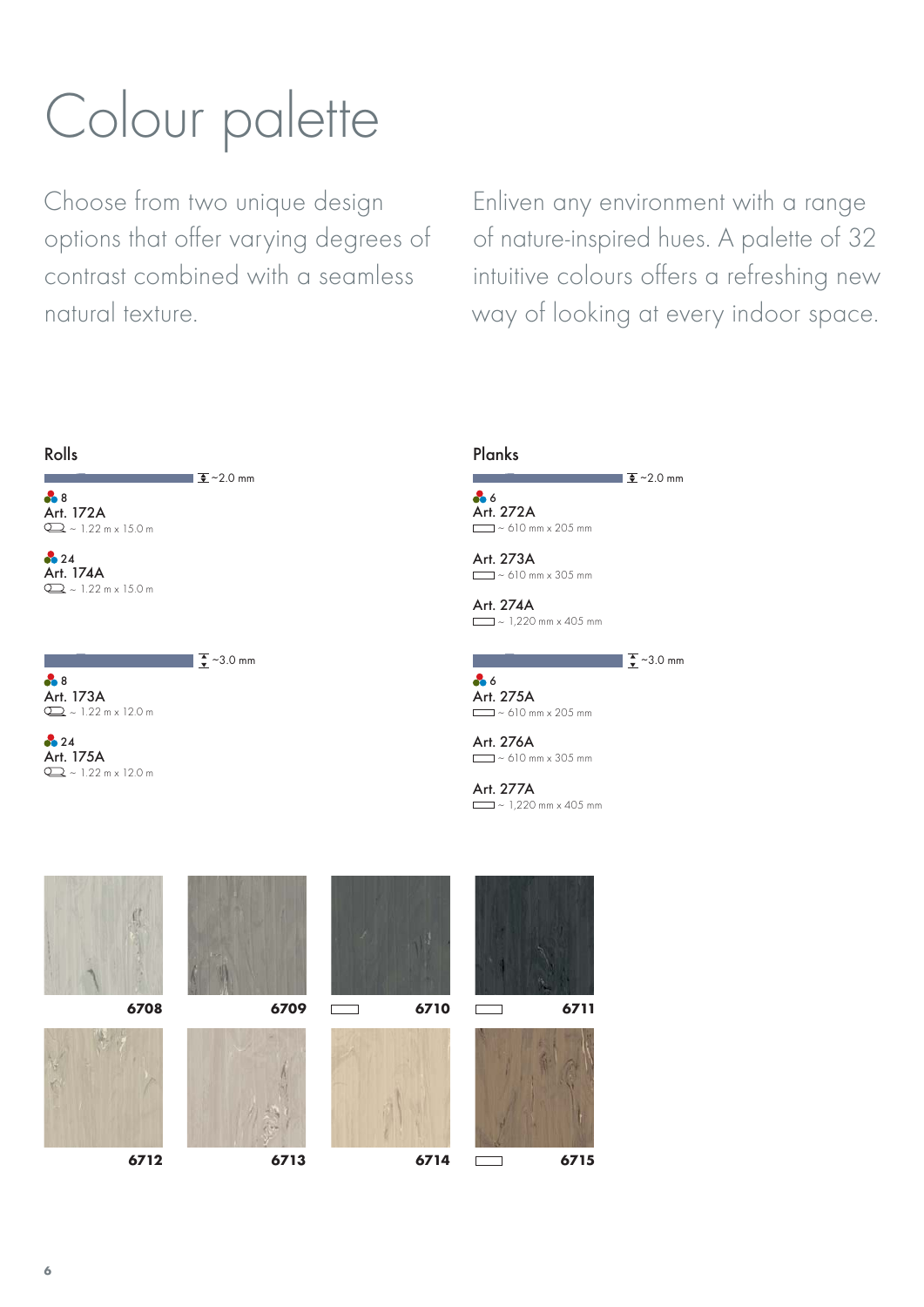# Colour palette

Choose from two unique design options that offer varying degrees of contrast combined with a seamless natural texture.

∼3.0 mm

Enliven any environment with a range of nature-inspired hues. A palette of 32 intuitive colours offers a refreshing new way of looking at every indoor space.

■  $\frac{1}{2}$  ~3.0 mm

∼2.0 mm



Art. 173A  $Q_2 \sim 1.22 \text{ m} \times 12.0 \text{ m}$ 8

Art. 175A  $Q = -1.22 \text{ m} \times 12.0 \text{ m}$ **24** 

6 Art. 272A  $\equiv$   $\sim$  610 mm x 205 mm

Art. 273A  $\sim$  610 mm x 305 mm

Art. 274A  $\sqrt{ }$  ~ 1,220 mm x 405 mm

## Art. 275A  $\Box$  ~ 610 mm x 205 mm 86

Art. 276A  $\Box$  ~ 610 mm x 305 mm

Art. 277A  $\sim 1,220$  mm x 405 mm











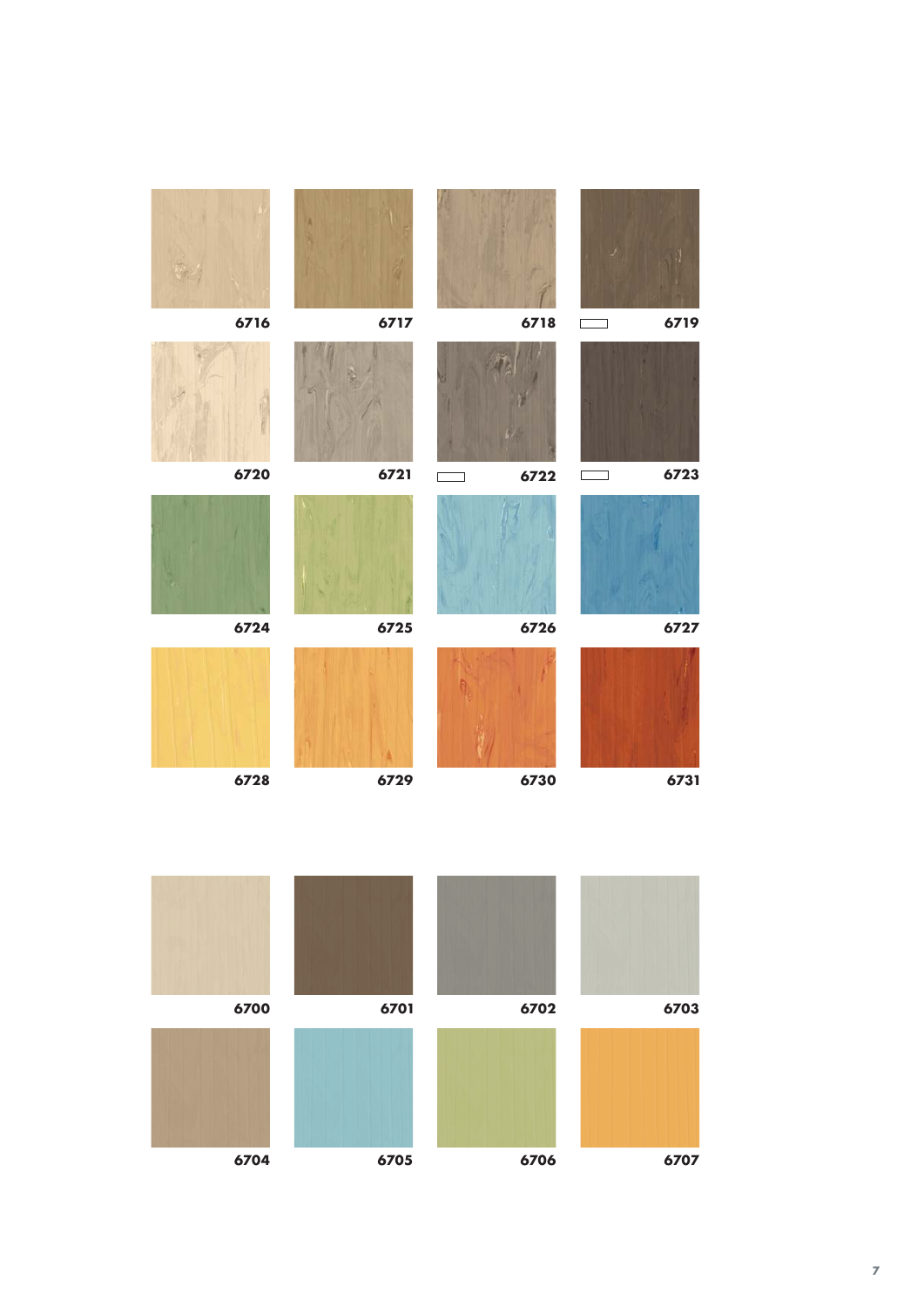| 6716 | 6717 |                                                                                                                       | 6718<br>$\overline{\phantom{a}}$ | 6719 |
|------|------|-----------------------------------------------------------------------------------------------------------------------|----------------------------------|------|
|      |      |                                                                                                                       |                                  |      |
| 6720 | 6721 | <b>The Contract of the Contract of the Contract of the Contract of the Contract of the Contract of the Contract o</b> | 6722<br>$\sim$                   | 6723 |
|      |      |                                                                                                                       |                                  |      |
| 6724 | 6725 |                                                                                                                       | 6726                             | 6727 |
|      |      |                                                                                                                       |                                  |      |
| 6728 | 6729 |                                                                                                                       | 6730                             | 6731 |